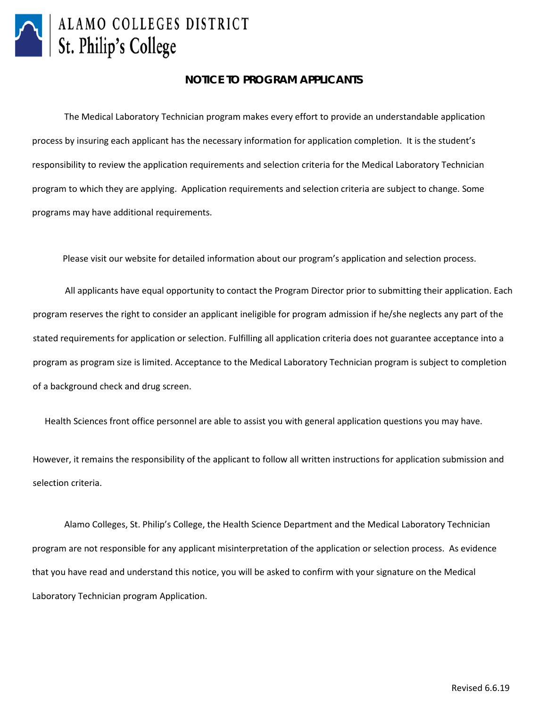

# ALAMO COLLEGES DISTRICT St. Philip's College

#### **NOTICE TO PROGRAM APPLICANTS**

The Medical Laboratory Technician program makes every effort to provide an understandable application process by insuring each applicant has the necessary information for application completion. It is the student's responsibility to review the application requirements and selection criteria for the Medical Laboratory Technician program to which they are applying. Application requirements and selection criteria are subject to change. Some programs may have additional requirements.

Please visit our [website for detailed information about our](http://alamo.edu/uploadedFiles/SPC/Academics/Departments/Allied_Health/Files/Quick%20Reference%207.1.15.pdf) program's application and selection process.

[All a](http://alamo.edu/uploadedFiles/SPC/Academics/Departments/Allied_Health/Files/Quick%20Reference%207.1.15.pdf)pplicants have equal opportunity to contact the Program Director prior to submitting their application. Each program reserves the right to consider an applicant ineligible for program admission if he/she neglects any part of the stated requirements for application or selection. Fulfilling all application criteria does not guarantee acceptance into a program as program size is limited. Acceptance to the Medical Laboratory Technician program is subject to completion of a background check and drug screen.

Health Sciences front office personnel are able to assist you with general application questions you may have.

However, it remains the responsibility of the applicant to follow all written instructions for application submission and selection criteria.

Alamo Colleges, St. Philip's College, the Health Science Department and the Medical Laboratory Technician program are not responsible for any applicant misinterpretation of the application or selection process. As evidence that you have read and understand this notice, you will be asked to confirm with your signature on the Medical Laboratory Technician program Application.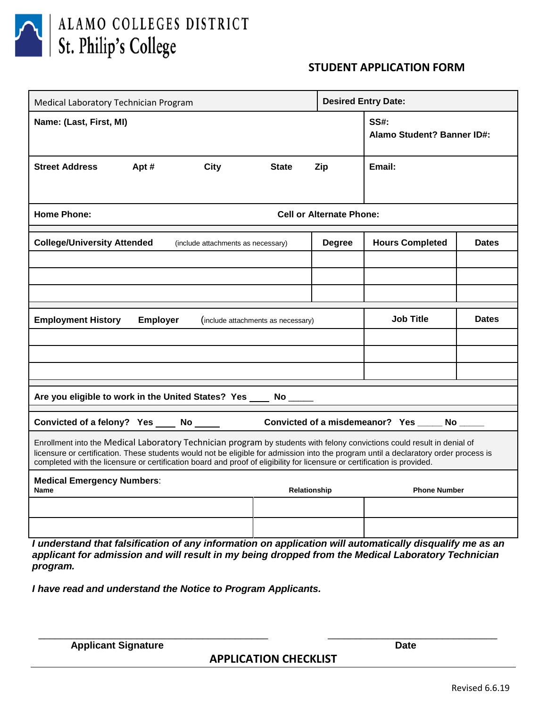

ALAMO COLLEGES DISTRICT St. Philip's College

### **STUDENT APPLICATION FORM**

| Medical Laboratory Technician Program                                                                                                                                                                                                                                                                                                                                                       |                                 |                                             |                                           | <b>Desired Entry Date:</b> |                          |              |  |
|---------------------------------------------------------------------------------------------------------------------------------------------------------------------------------------------------------------------------------------------------------------------------------------------------------------------------------------------------------------------------------------------|---------------------------------|---------------------------------------------|-------------------------------------------|----------------------------|--------------------------|--------------|--|
| Name: (Last, First, MI)                                                                                                                                                                                                                                                                                                                                                                     |                                 |                                             | <b>SS#:</b><br>Alamo Student? Banner ID#: |                            |                          |              |  |
| <b>Street Address</b>                                                                                                                                                                                                                                                                                                                                                                       | Apt#                            | <b>City</b>                                 | <b>State</b>                              | Zip                        | Email:                   |              |  |
| <b>Home Phone:</b>                                                                                                                                                                                                                                                                                                                                                                          | <b>Cell or Alternate Phone:</b> |                                             |                                           |                            |                          |              |  |
| <b>College/University Attended</b>                                                                                                                                                                                                                                                                                                                                                          |                                 | (include attachments as necessary)          |                                           | <b>Degree</b>              | <b>Hours Completed</b>   | <b>Dates</b> |  |
|                                                                                                                                                                                                                                                                                                                                                                                             |                                 |                                             |                                           |                            |                          |              |  |
|                                                                                                                                                                                                                                                                                                                                                                                             |                                 |                                             |                                           |                            |                          |              |  |
|                                                                                                                                                                                                                                                                                                                                                                                             |                                 |                                             |                                           |                            |                          |              |  |
| <b>Employment History</b>                                                                                                                                                                                                                                                                                                                                                                   | <b>Employer</b>                 | (include attachments as necessary)          |                                           | <b>Job Title</b>           | <b>Dates</b>             |              |  |
|                                                                                                                                                                                                                                                                                                                                                                                             |                                 |                                             |                                           |                            |                          |              |  |
|                                                                                                                                                                                                                                                                                                                                                                                             |                                 |                                             |                                           |                            |                          |              |  |
|                                                                                                                                                                                                                                                                                                                                                                                             |                                 |                                             |                                           |                            |                          |              |  |
| Are you eligible to work in the United States? Yes ____ No ____                                                                                                                                                                                                                                                                                                                             |                                 |                                             |                                           |                            |                          |              |  |
| Convicted of a felony? Yes ____ No _____<br>Convicted of a misdemeanor? Yes _____ No ___                                                                                                                                                                                                                                                                                                    |                                 |                                             |                                           |                            |                          |              |  |
| Enrollment into the Medical Laboratory Technician program by students with felony convictions could result in denial of<br>licensure or certification. These students would not be eligible for admission into the program until a declaratory order process is<br>completed with the licensure or certification board and proof of eligibility for licensure or certification is provided. |                                 |                                             |                                           |                            |                          |              |  |
| <b>Medical Emergency Numbers:</b><br><b>Name</b>                                                                                                                                                                                                                                                                                                                                            |                                 |                                             | Relationship                              |                            | <b>Phone Number</b>      |              |  |
|                                                                                                                                                                                                                                                                                                                                                                                             |                                 |                                             |                                           |                            |                          |              |  |
| $\sim$ and the state is in $H_{\rm{max}}$                                                                                                                                                                                                                                                                                                                                                   |                                 | $\mathbf{r}$ . The first state $\mathbf{r}$ | $H = -H -$                                | $1.111 - 1.11$             | ويتكالمستوجات وبالمماطور |              |  |

*I understand that falsification of any information on application will automatically disqualify me as an applicant for admission and will result in my being dropped from the Medical Laboratory Technician program.* 

*I have read and understand the Notice to Program Applicants.*

**Applicant Signature Date** 

**APPLICATION CHECKLIST**

\_\_\_\_\_\_\_\_\_\_\_\_\_\_\_\_\_\_\_\_\_\_\_\_\_\_\_\_\_\_\_\_\_\_\_\_\_\_\_\_\_\_ \_\_\_\_\_\_\_\_\_\_\_\_\_\_\_\_\_\_\_\_\_\_\_\_\_\_\_\_\_\_\_